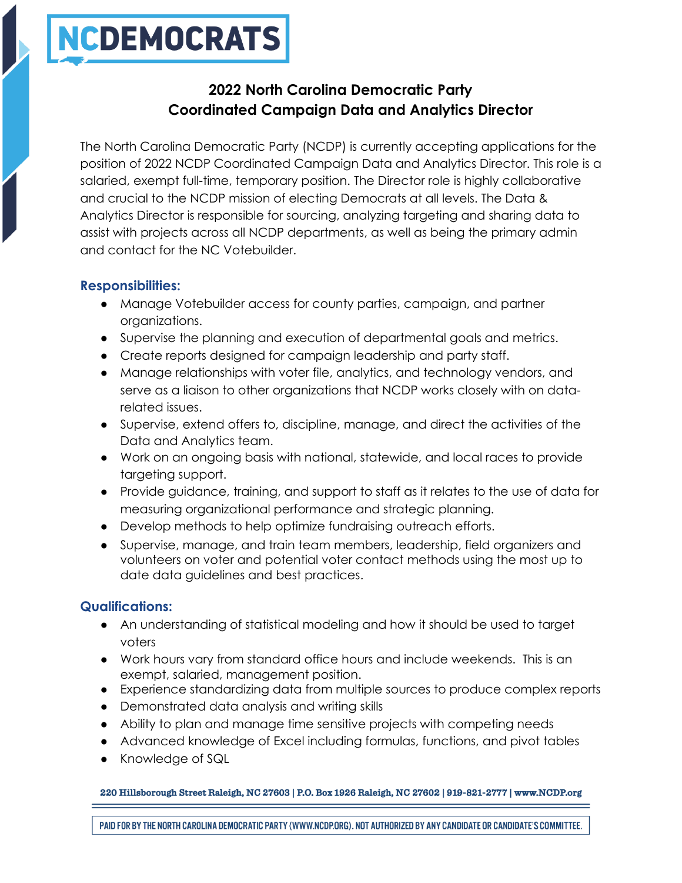# NCDEMOCRATS

## **2022 North Carolina Democratic Party Coordinated Campaign Data and Analytics Director**

The North Carolina Democratic Party (NCDP) is currently accepting applications for the position of 2022 NCDP Coordinated Campaign Data and Analytics Director. This role is a salaried, exempt full-time, temporary position. The Director role is highly collaborative and crucial to the NCDP mission of electing Democrats at all levels. The Data & Analytics Director is responsible for sourcing, analyzing targeting and sharing data to assist with projects across all NCDP departments, as well as being the primary admin and contact for the NC Votebuilder.

## **Responsibilities:**

- Manage Votebuilder access for county parties, campaign, and partner organizations.
- Supervise the planning and execution of departmental goals and metrics.
- Create reports designed for campaign leadership and party staff.
- Manage relationships with voter file, analytics, and technology vendors, and serve as a liaison to other organizations that NCDP works closely with on datarelated issues.
- Supervise, extend offers to, discipline, manage, and direct the activities of the Data and Analytics team.
- Work on an ongoing basis with national, statewide, and local races to provide targeting support.
- Provide guidance, training, and support to staff as it relates to the use of data for measuring organizational performance and strategic planning.
- Develop methods to help optimize fundraising outreach efforts.
- Supervise, manage, and train team members, leadership, field organizers and volunteers on voter and potential voter contact methods using the most up to date data guidelines and best practices.

## **Qualifications:**

- An understanding of statistical modeling and how it should be used to target voters
- Work hours vary from standard office hours and include weekends. This is an exempt, salaried, management position.
- Experience standardizing data from multiple sources to produce complex reports
- Demonstrated data analysis and writing skills
- Ability to plan and manage time sensitive projects with competing needs
- Advanced knowledge of Excel including formulas, functions, and pivot tables
- Knowledge of SQL

220 Hillsborough Street Raleigh, NC 27603 | P.O. Box 1926 Raleigh, NC 27602 | 919-821-2777 | www.NCDP.org

PAID FOR BY THE NORTH CAROLINA DEMOCRATIC PARTY (WWW.NCDP.ORG). NOT AUTHORIZED BY ANY CANDIDATE OR CANDIDATE'S COMMITTEE.